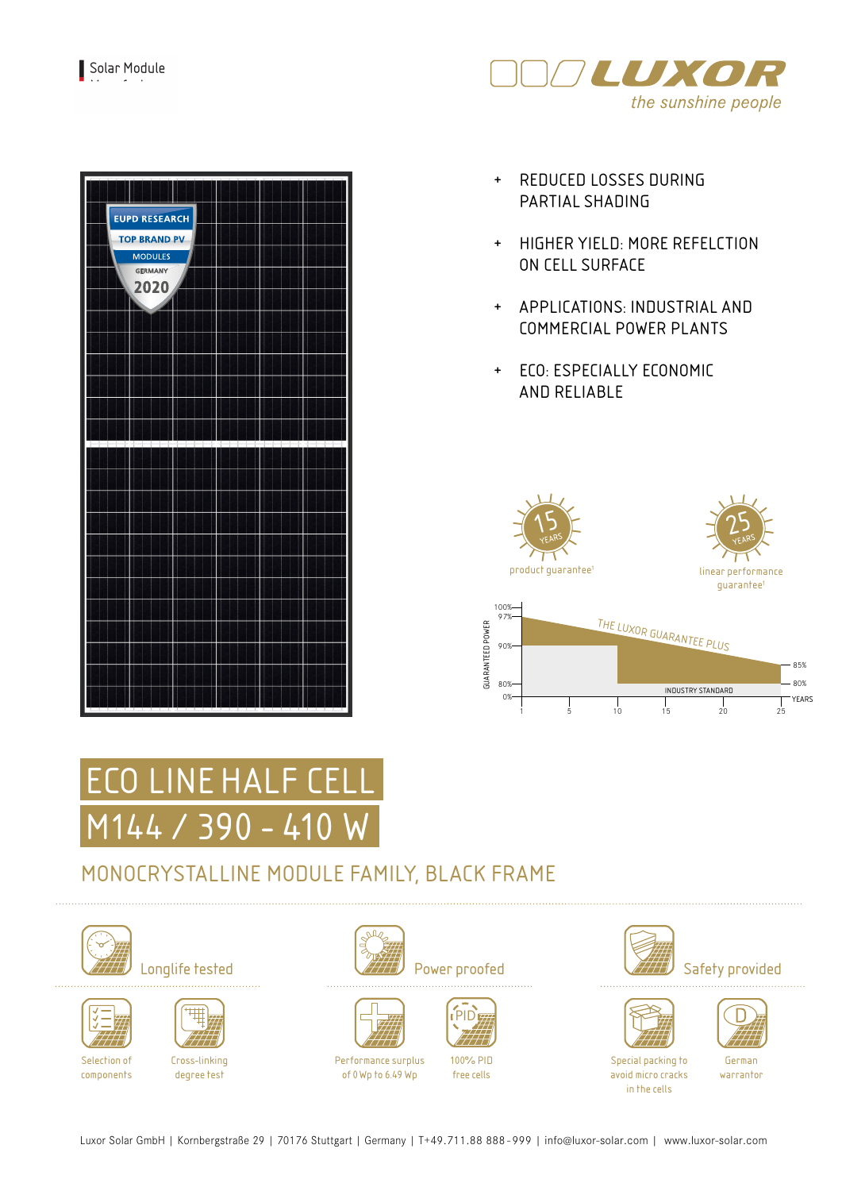

| <b>EUPD RESEARCH</b><br><b>TOP BRAND PV</b><br><b>MODULES</b><br>GERMANY<br>2020<br>и |  |  |
|---------------------------------------------------------------------------------------|--|--|
|                                                                                       |  |  |
|                                                                                       |  |  |
|                                                                                       |  |  |

- + REDUCED LOSSES DURING PARTIAL SHADING
- + HIGHER YIELD: MORE REFELCTION ON CELL SURFACE
- + APPLICATIONS: INDUSTRIAL AND COMMERCIAL POWER PLANTS
- + ECO: ESPECIALLY ECONOMIC AND RELIABLE





# MONOCRYSTALLINE MODULE FAMILY, BLACK FRAME







Selection of components

Cross-linking degree test







Performance surplus of 0Wp to 6.49 Wp



free cells





German warrantor